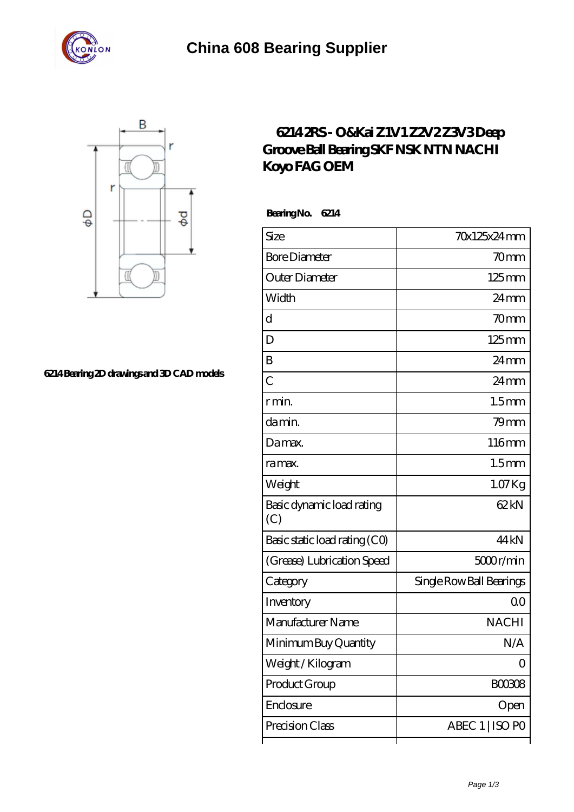



**[6214 Bearing 2D drawings and 3D CAD models](https://m.stavangerguiden.com/pic-677162.html)**

## **[6214 2RS - O&Kai Z1V1 Z2V2 Z3V3 Deep](https://m.stavangerguiden.com/fag-6208-bearing/nachi-6214.html) [Groove Ball Bearing SKF NSK NTN NACHI](https://m.stavangerguiden.com/fag-6208-bearing/nachi-6214.html) [Koyo FAG OEM](https://m.stavangerguiden.com/fag-6208-bearing/nachi-6214.html)**

 **Bearing No. 6214**

| Size                             | 70x125x24mm              |
|----------------------------------|--------------------------|
| <b>Bore Diameter</b>             | 70 <sub>mm</sub>         |
| Outer Diameter                   | $125 \text{mm}$          |
| Width                            | $24 \,\mathrm{mm}$       |
| d                                | 70mm                     |
| D                                | $125 \text{mm}$          |
| B                                | $24 \,\mathrm{mm}$       |
| $\overline{C}$                   | $24 \text{mm}$           |
| r min.                           | 1.5 <sub>mm</sub>        |
| da min.                          | $79$ mm                  |
| Damax.                           | 116mm                    |
| ra max.                          | 1.5 <sub>mm</sub>        |
| Weight                           | $1.07$ Kg                |
| Basic dynamic load rating<br>(C) | 62kN                     |
| Basic static load rating (CO)    | 44 kN                    |
| (Grease) Lubrication Speed       | 5000r/min                |
| Category                         | Single Row Ball Bearings |
| Inventory                        | Q0                       |
| Manufacturer Name                | <b>NACHI</b>             |
| Minimum Buy Quantity             | N/A                      |
| Weight / Kilogram                | 0                        |
| Product Group                    | BOO3O8                   |
| Enclosure                        | Open                     |
| Precision Class                  | ABEC 1   ISO PO          |
|                                  |                          |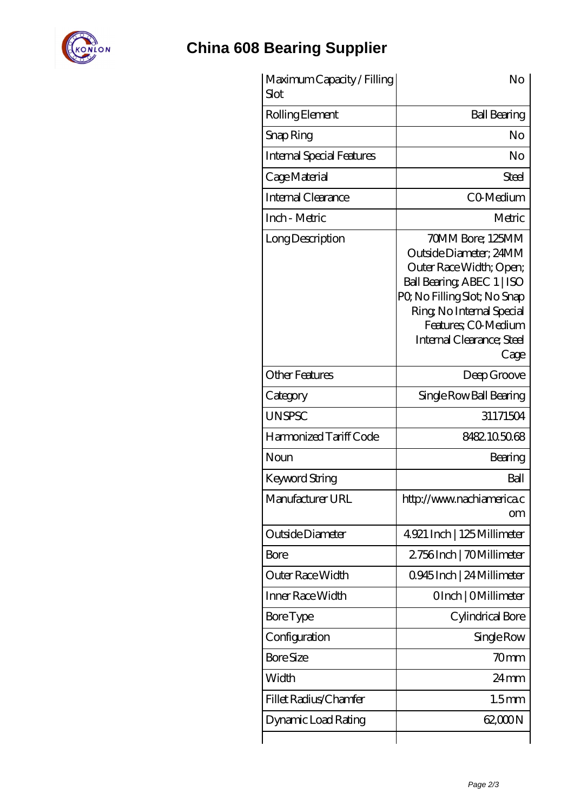

## **[China 608 Bearing Supplier](https://m.stavangerguiden.com)**

| Maximum Capacity / Filling<br>Slot | No                                                                                                                                                                                                                          |
|------------------------------------|-----------------------------------------------------------------------------------------------------------------------------------------------------------------------------------------------------------------------------|
| Rolling Element                    | <b>Ball Bearing</b>                                                                                                                                                                                                         |
| Snap Ring                          | No                                                                                                                                                                                                                          |
| <b>Internal Special Features</b>   | No                                                                                                                                                                                                                          |
| Cage Material                      | Steel                                                                                                                                                                                                                       |
| Internal Clearance                 | CO-Medium                                                                                                                                                                                                                   |
| Inch - Metric                      | Metric                                                                                                                                                                                                                      |
| Long Description                   | 70MM Bore; 125MM<br>Outside Diameter; 24MM<br>Outer Race Width; Open;<br>Ball Bearing, ABEC 1   ISO<br>PQ No Filling Slot; No Snap<br>Ring, No Internal Special<br>Features; CO Medium<br>Internal Clearance; Steel<br>Cage |
| <b>Other Features</b>              | Deep Groove                                                                                                                                                                                                                 |
| Category                           | Single Row Ball Bearing                                                                                                                                                                                                     |
| <b>UNSPSC</b>                      | 31171504                                                                                                                                                                                                                    |
| Harmonized Tariff Code             | 8482.105068                                                                                                                                                                                                                 |
| Noun                               | Bearing                                                                                                                                                                                                                     |
| Keyword String                     | Ball                                                                                                                                                                                                                        |
| Manufacturer URL                   | http://www.nachiamerica.c<br><b>om</b>                                                                                                                                                                                      |
| Outside Diameter                   | 4921 Inch   125 Millimeter                                                                                                                                                                                                  |
| <b>Bore</b>                        | 2756Inch   70Millimeter                                                                                                                                                                                                     |
| <b>Outer Race Width</b>            | Q945Inch   24 Millimeter                                                                                                                                                                                                    |
| Inner Race Width                   | OInch   OMillimeter                                                                                                                                                                                                         |
| <b>Bore Type</b>                   | Cylindrical Bore                                                                                                                                                                                                            |
| Configuration                      | Single Row                                                                                                                                                                                                                  |
| <b>Bore Size</b>                   | 70mm                                                                                                                                                                                                                        |
| Width                              | $24 \,\mathrm{mm}$                                                                                                                                                                                                          |
| Fillet Radius/Chamfer              | 1.5 <sub>mm</sub>                                                                                                                                                                                                           |
| Dynamic Load Rating                | 62,000 N                                                                                                                                                                                                                    |